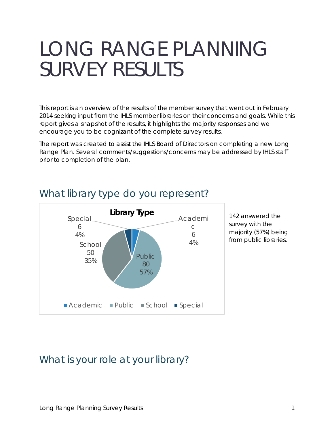# LONG RANGE PLANNING SURVEY RESULTS

This report is an overview of the results of the member survey that went out in February 2014 seeking input from the IHLS member libraries on their concerns and goals. While this report gives a snapshot of the results, it highlights the majority responses and we encourage you to be cognizant of the complete survey results.

The report was created to assist the IHLS Board of Directors on completing a new Long Range Plan. Several comments/suggestions/concerns may be addressed by IHLS staff prior to completion of the plan.



### What library type do you represent?

142 answered the survey with the majority (57%) being from public libraries.

# What is your role at your library?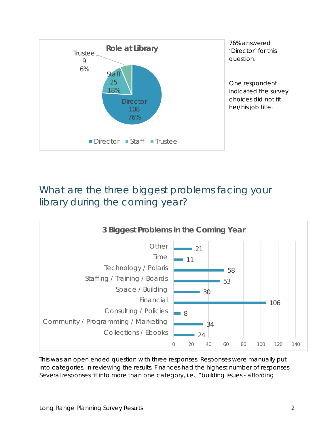

# What are the three biggest problems facing your library during the coming year?



This was an open ended question with three responses. Responses were manually put into categories. In reviewing the results, Finances had the highest number of responses. Several responses fit into more than one category, i.e., "building issues - affording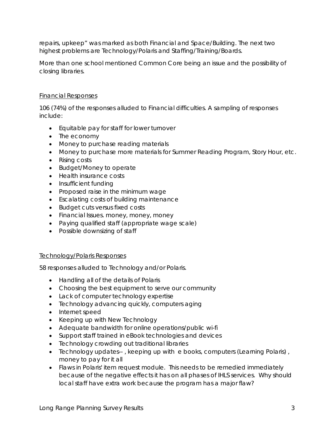repairs, upkeep" was marked as both Financial and Space/Building. The next two highest problems are Technology/Polaris and Staffing/Training/Boards.

More than one school mentioned Common Core being an issue and the possibility of closing libraries.

#### Financial Responses

106 (74%) of the responses alluded to Financial difficulties. A sampling of responses include:

- Equitable pay for staff for lower turnover
- The economy
- Money to purchase reading materials
- Money to purchase more materials for Summer Reading Program, Story Hour, etc.
- Rising costs
- Budget/Money to operate
- Health insurance costs
- Insufficient funding
- Proposed raise in the minimum wage
- Escalating costs of building maintenance
- Budget cuts versus fixed costs
- Financial Issues. money, money, money
- Paying qualified staff (appropriate wage scale)
- Possible downsizing of staff

### Technology/Polaris Responses

58 responses alluded to Technology and/or Polaris.

- Handling all of the details of Polaris
- Choosing the best equipment to serve our community
- Lack of computer technology expertise
- Technology advancing quickly, computers aging
- Internet speed
- Keeping up with New Technology
- Adequate bandwidth for online operations/public wi-fi
- Support staff trained in eBook technologies and devices
- Technology crowding out traditional libraries
- Technology updates--, keeping up with e books, computers (Learning Polaris), money to pay for it all
- Flaws in Polaris' item request module. This needs to be remedied immediately because of the negative effects it has on all phases of IHLS services. Why should local staff have extra work because the program has a major flaw?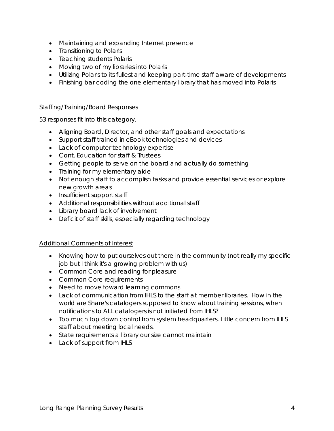- Maintaining and expanding Internet presence
- Transitioning to Polaris
- Teaching students Polaris
- Moving two of my libraries into Polaris
- Utilizing Polaris to its fullest and keeping part-time staff aware of developments
- Finishing bar coding the one elementary library that has moved into Polaris

#### Staffing/Training/Board Responses

53 responses fit into this category.

- Aligning Board, Director, and other staff goals and expectations
- Support staff trained in eBook technologies and devices
- Lack of computer technology expertise
- Cont. Education for staff & Trustees
- Getting people to serve on the board and actually do something
- Training for my elementary aide
- Not enough staff to accomplish tasks and provide essential services or explore new growth areas
- Insufficient support staff
- Additional responsibilities without additional staff
- Library board lack of involvement
- Deficit of staff skills, especially regarding technology

### Additional Comments of Interest

- Knowing how to put ourselves out there in the community (not really my specific job but I think it's a growing problem with us)
- Common Core and reading for pleasure
- Common Core requirements
- Need to move toward learning commons
- Lack of communication from IHLS to the staff at member libraries. How in the world are Share's catalogers supposed to know about training sessions, when notifications to ALL catalogers is not initiated from IHLS?
- Too much top down control from system headquarters. Little concern from IHLS staff about meeting local needs.
- State requirements a library our size cannot maintain
- Lack of support from IHLS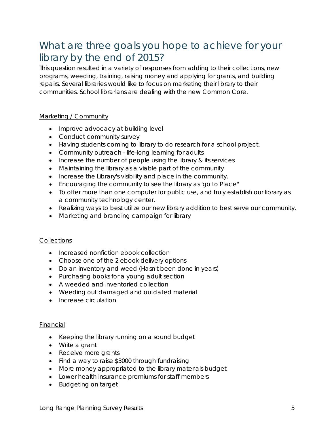# What are three goals you hope to achieve for your library by the end of 2015?

This question resulted in a variety of responses from adding to their collections, new programs, weeding, training, raising money and applying for grants, and building repairs. Several libraries would like to focus on marketing their library to their communities. School librarians are dealing with the new Common Core.

### Marketing / Community

- Improve advocacy at building level
- Conduct community survey
- Having students coming to library to do research for a school project.
- Community outreach life-long learning for adults
- Increase the number of people using the library & its services
- Maintaining the library as a viable part of the community
- Increase the Library's visibility and place in the community.
- Encouraging the community to see the library as 'go to Place"
- To offer more than one computer for public use, and truly establish our library as a community technology center.
- Realizing ways to best utilize our new library addition to best serve our community.
- Marketing and branding campaign for library

### **Collections**

- Increased nonfiction ebook collection
- Choose one of the 2 ebook delivery options
- Do an inventory and weed (Hasn't been done in years)
- Purchasing books for a young adult section
- A weeded and inventoried collection
- Weeding out damaged and outdated material
- Increase circulation

#### Financial

- Keeping the library running on a sound budget
- Write a grant
- Receive more grants
- Find a way to raise \$3000 through fundraising
- More money appropriated to the library materials budget
- Lower health insurance premiums for staff members
- Budgeting on target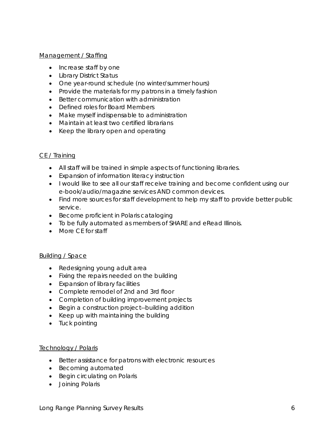#### Management / Staffing

- Increase staff by one
- Library District Status
- One year-round schedule (no winter/summer hours)
- Provide the materials for my patrons in a timely fashion
- Better communication with administration
- Defined roles for Board Members
- Make myself indispensable to administration
- Maintain at least two certified librarians
- Keep the library open and operating

### CE / Training

- All staff will be trained in simple aspects of functioning libraries.
- Expansion of information literacy instruction
- I would like to see all our staff receive training and become confident using our e-book/audio/magazine services AND common devices.
- Find more sources for staff development to help my staff to provide better public service.
- Become proficient in Polaris cataloging
- To be fully automated as members of SHARE and eRead Illinois.
- More CF for staff

### Building / Space

- Redesigning young adult area
- Fixing the repairs needed on the building
- Expansion of library facilities
- Complete remodel of 2nd and 3rd floor
- Completion of building improvement projects
- Begin a construction project--building addition
- Keep up with maintaining the building
- Tuck pointing

### Technology / Polaris

- Better assistance for patrons with electronic resources
- Becoming automated
- Begin circulating on Polaris
- Joining Polaris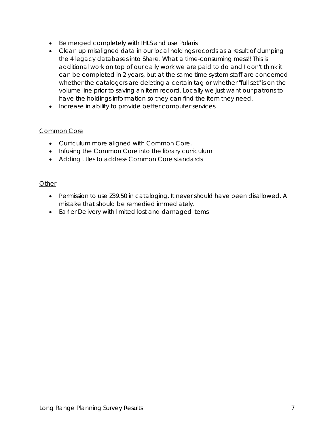- Be merged completely with IHLS and use Polaris
- Clean up misaligned data in our local holdings records as a result of dumping the 4 legacy databases into Share. What a time-consuming mess!! This is additional work on top of our daily work we are paid to do and I don't think it can be completed in 2 years, but at the same time system staff are concerned whether the catalogers are deleting a certain tag or whether "full set" is on the volume line prior to saving an item record. Locally we just want our patrons to have the holdings information so they can find the item they need.
- Increase in ability to provide better computer services

### Common Core

- Curriculum more aligned with Common Core.
- Infusing the Common Core into the library curriculum
- Adding titles to address Common Core standards

### **Other**

- Permission to use Z39.50 in cataloging. It never should have been disallowed. A mistake that should be remedied immediately.
- Earlier Delivery with limited lost and damaged items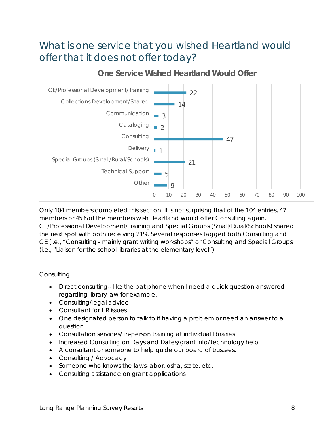# What is one service that you wished Heartland would offer that it does not offer today?



Only 104 members completed this section. It is not surprising that of the 104 entries, 47 members or 45% of the members wish Heartland would offer Consulting again. CE/Professional Development/Training and Special Groups (Small/Rural/Schools) shared the next spot with both receiving 21%. Several responses tagged both Consulting and CE (i.e., "Consulting - mainly grant writing workshops" or Consulting and Special Groups (i.e., "Liaison for the school libraries at the elementary level").

### **Consulting**

- Direct consulting-- like the bat phone when I need a quick question answered regarding library law for example.
- Consulting/legal advice
- Consultant for HR issues
- One designated person to talk to if having a problem or need an answer to a question
- Consultation services/ in-person training at individual libraries
- Increased Consulting on Days and Dates/grant info/technology help
- A consultant or someone to help guide our board of trustees.
- Consulting / Advocacy
- Someone who knows the laws-labor, osha, state, etc.
- Consulting assistance on grant applications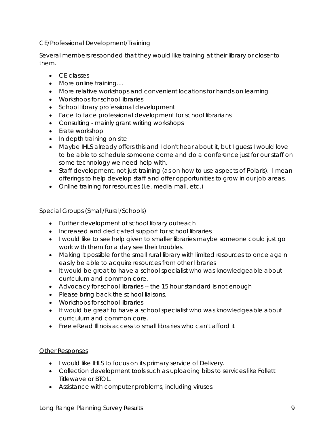### CE/Professional Development/Training

Several members responded that they would like training at their library or closer to them.

- CE classes
- More online training....
- More relative workshops and convenient locations for hands on learning
- Workshops for school libraries
- School library professional development
- Face to face professional development for school librarians
- Consulting mainly grant writing workshops
- Erate workshop
- In depth training on site
- Maybe IHLS already offers this and I don't hear about it, but I quess I would love to be able to schedule someone come and do a conference just for our staff on some technology we need help with.
- Staff development, not just training (as on how to use aspects of Polaris). I mean offerings to help develop staff and offer opportunities to grow in our job areas.
- Online training for resources (i.e. media mall, etc.)

### Special Groups (Small/Rural/Schools)

- Further development of school library outreach
- Increased and dedicated support for school libraries
- I would like to see help given to smaller libraries maybe someone could just go work with them for a day see their troubles.
- Making it possible for the small rural library with limited resources to once again easily be able to acquire resources from other libraries
- It would be great to have a school specialist who was knowledgeable about curriculum and common core.
- Advocacy for school libraries -- the 15 hour standard is not enough
- Please bring back the school liaisons.
- Workshops for school libraries
- It would be great to have a school specialist who was knowledgeable about curriculum and common core.
- Free eRead Illinois access to small libraries who can't afford it

### Other Responses

- I would like IHLS to focus on its primary service of Delivery.
- Collection development tools such as uploading bibs to services like Follett Titlewave or BTOL.
- Assistance with computer problems, including viruses.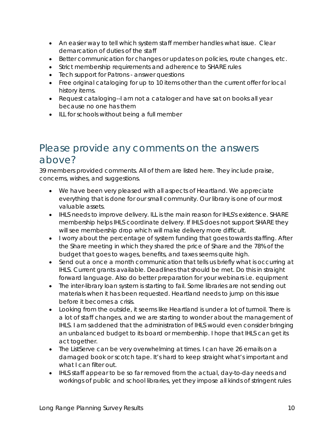- An easier way to tell which system staff member handles what issue. Clear demarcation of duties of the staff
- Better communication for changes or updates on policies, route changes, etc.
- Strict membership requirements and adherence to SHARE rules
- Tech support for Patrons answer questions
- Free original cataloging for up to 10 items other than the current offer for local history items.
- Request cataloging--I am not a cataloger and have sat on books all year because no one has them
- ILL for schools without being a full member

### Please provide any comments on the answers above?

39 members provided comments. All of them are listed here. They include praise, concerns, wishes, and suggestions.

- We have been very pleased with all aspects of Heartland. We appreciate everything that is done for our small community. Our library is one of our most valuable assets.
- IHLS needs to improve delivery. ILL is the main reason for IHLS's existence. SHARE membership helps IHLS coordinate delivery. If IHLS does not support SHARE they will see membership drop which will make delivery more difficult.
- I worry about the percentage of system funding that goes towards staffing. After the Share meeting in which they shared the price of Share and the 78% of the budget that goes to wages, benefits, and taxes seems quite high.
- Send out a once a month communication that tells us briefly what is occurring at IHLS. Current grants available. Deadlines that should be met. Do this in straight forward language. Also do better preparation for your webinars i.e. equipment
- The inter-library loan system is starting to fail. Some libraries are not sending out materials when it has been requested. Heartland needs to jump on this issue before it becomes a crisis.
- Looking from the outside, it seems like Heartland is under a lot of turmoil. There is a lot of staff changes, and we are starting to wonder about the management of IHLS. I am saddened that the administration of IHLS would even consider bringing an unbalanced budget to its board or membership. I hope that IHLS can get its act together.
- The ListServe can be very overwhelming at times. I can have 26 emails on a damaged book or scotch tape. It's hard to keep straight what's important and what I can filter out.
- IHLS staff appear to be so far removed from the actual, day-to-day needs and workings of public and school libraries, yet they impose all kinds of stringent rules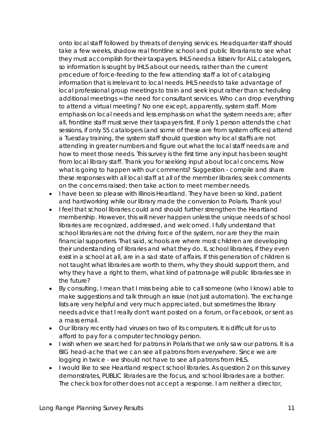onto local staff followed by threats of denying services. Headquarter staff should take a few weeks, shadow real frontline school and public librarians to see what they must accomplish for their taxpayers. IHLS needs a listserv for ALL catalogers, so information is sought by IHLS about our needs, rather than the current procedure of force-feeding to the few attending staff a lot of cataloging information that is irrelevant to local needs. IHLS needs to take advantage of local professional group meetings to train and seek input rather than scheduling additional meetings = the need for consultant services. Who can drop everything to attend a virtual meeting? No one except, apparently, system staff. More emphasis on local needs and less emphasis on what the system needs are; after all, frontline staff must serve their taxpayers first. If only 1 person attends the chat sessions, if only 55 catalogers (and some of these are from system offices) attend a Tuesday training, the system staff should question why local staffs are not attending in greater numbers and figure out what the local staff needs are and how to meet those needs. This survey is the first time any input has been sought from local library staff. Thank you for seeking input about local concerns. Now what is going to happen with our comments? Suggestion - compile and share these responses with all local staff at all of the member libraries; seek comments on the concerns raised; then take action to meet member needs.

- I have been so please with Illinois Heartland. They have been so kind, patient and hardworking while our library made the conversion to Polaris. Thank you!
- I feel that school libraries could and should further strengthen the Heartland membership. However, this will never happen unless the unique needs of school libraries are recognized, addressed, and welcomed. I fully understand that school libraries are not the driving force of the system, nor are they the main financial supporters. That said, schools are where most children are developing their understanding of libraries and what they do. IL school libraries, if they even exist in a school at all, are in a sad state of affairs. If this generation of children is not taught what libraries are worth to them, why they should support them, and why they have a right to them, what kind of patronage will public libraries see in the future?
- By consulting, I mean that I miss being able to call someone (who I know) able to make suggestions and talk through an issue (not just automation). The exchange lists are very helpful and very much appreciated, but sometimes the library needs advice that I really don't want posted on a forum, or Facebook, or sent as a mass email.
- Our library recently had viruses on two of its computers. It is difficult for us to afford to pay for a computer technology person.
- I wish when we searched for patrons in Polaris that we only saw our patrons. It is a BIG head-ache that we can see all patrons from everywhere. Since we are logging in twice - we should not have to see all patrons from IHLS.
- I would like to see Heartland respect school libraries. As question 2 on this survey demonstrates, PUBLIC libraries are the focus, and school libraries are a bother. The check box for other does not accept a response. I am neither a director,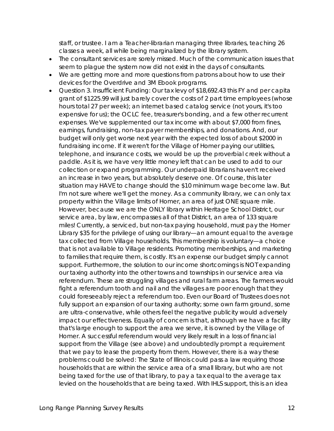staff, or trustee. I am a Teacher-librarian managing three libraries, teaching 26 classes a week, all while being marginalized by the library system.

- The consultant services are sorely missed. Much of the communication issues that seem to plague the system now did not exist in the days of consultants.
- We are getting more and more questions from patrons about how to use their devices for the Overdrive and 3M Ebook programs.
- Question 3. Insufficient Funding: Our tax levy of \$18,692.43 this FY and per capita grant of \$1225.99 will just barely cover the costs of 2 part time employees (whose hours total 27 per week); an internet based catalog service (not yours, it's too expensive for us); the OCLC fee, treasurer's bonding, and a few other recurrent expenses. We've supplemented our tax income with about \$7,000 from fines, earnings, fundraising, non-tax payer memberships, and donations. And, our budget will only get worse next year with the expected loss of about \$2000 in fundraising income. If it weren't for the Village of Homer paying our utilities, telephone, and insurance costs, we would be up the proverbial creek without a paddle. As it is, we have very little money left that can be used to add to our collection or expand programming. Our underpaid librarians haven't received an increase in two years, but absolutely deserve one. Of course, this later situation may HAVE to change should the \$10 minimum wage become law. But I'm not sure where we'll get the money. As a community library, we can only tax property within the Village limits of Homer, an area of just ONE square mile. However, because we are the ONLY library within Heritage School District, our service area, by law, encompasses all of that District, an area of 133 square miles! Currently, a serviced, but non-tax paying household, must pay the Homer Library \$35 for the privilege of using our library—an amount equal to the average tax collected from Village households. This membership is voluntary—a choice that is not available to Village residents. Promoting memberships, and marketing to families that require them, is costly. It's an expense our budget simply cannot support. Furthermore, the solution to our income shortcomings is NOT expanding our taxing authority into the other towns and townships in our service area via referendum. These are struggling villages and rural farm areas. The farmers would fight a referendum tooth and nail and the villages are poor enough that they could foreseeably reject a referendum too. Even our Board of Trustees does not fully support an expansion of our taxing authority; some own farm ground, some are ultra-conservative, while others feel the negative publicity would adversely impact our effectiveness. Equally of concern is that, although we have a facility that's large enough to support the area we serve, it is owned by the Village of Homer. A successful referendum would very likely result in a loss of financial support from the Village (see above) and undoubtedly prompt a requirement that we pay to lease the property from them. However, there is a way these problems could be solved: The State of Illinois could pass a law requiring those households that are within the service area of a small library, but who are not being taxed for the use of that library, to pay a tax equal to the average tax levied on the households that are being taxed. With IHLS support, this is an idea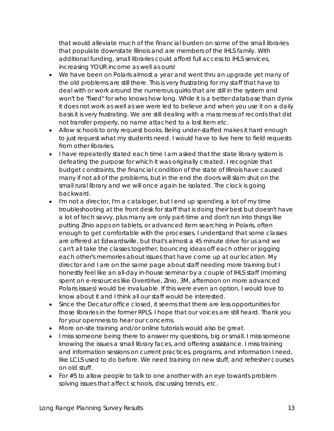that would alleviate much of the financial burden on some of the small libraries that populate downstate Illinois and are members of the IHLS family. With additional funding, small libraries could afford full access to IHLS services, increasing YOUR income as well as ours!

- We have been on Polaris almost a year and went thru an upgrade yet many of the old problems are still there. This is very frustrating for my staff that have to deal with or work around the numerous quirks that are still in the system and won't be "fixed" for who knows how long. While it is a better database than dynix it does not work as well as we were led to believe and when you use it on a daily basis it is very frustrating. We are still dealing with a mass mess of records that did not transfer properly, no name attached to a lost item etc.
- Allow schools to only request books. Being under-staffed makes it hard enough to just request what my students need. I would have to live here to field requests from other libraries.
- I have repeatedly stated each time I am asked that the state library system is defeating the purpose for which it was originally created. I recognize that budget constraints, the financial condition of the state of Illinois have caused many if not all of the problems, but in the end the doors will slam shut on the small rural library and we will once again be isolated. The clock is going backward.
- I'm not a director, I'm a cataloger, but I end up spending a lot of my time troubleshooting at the front desk for staff that is doing their best but doesn't have a lot of tech savvy, plus many are only part-time and don't run into things like putting Zinio apps on tablets, or advanced item searching in Polaris, often enough to get comfortable with the processes. I understand that some classes are offered at Edwardsville, but that's almost a 45 minute drive for us and we can't all take the classes together, bouncing ideas off each other or jogging each other's memories about issues that have come up at our location. My director and I are on the same page about staff needing more training but I honestly feel like an all-day in-house seminar by a couple of IHLS staff (morning spent on e-resources like Overdrive, Zinio, 3M, afternoon on more advanced Polaris issues) would be invaluable. If this were even an option, I would love to know about it and I think all our staff would be interested.
- Since the Decatur office closed, it seems that there are less opportunities for those libraries in the former RPLS. I hope that our voices are still heard. Thank you for your openness to hear our concerns.
- More on-site training and/or online tutorials would also be great.
- I miss someone being there to answer my questions, big or small. I miss someone knowing the issues a small library faces, and offering assistance. I miss training and information sessions on current practices, programs, and information I need, like LCLS used to do before. We need training on new stuff, and refresher courses on old stuff.
- For #5 to allow people to talk to one another with an eye towards problem solving issues that affect schools, discussing trends, etc.